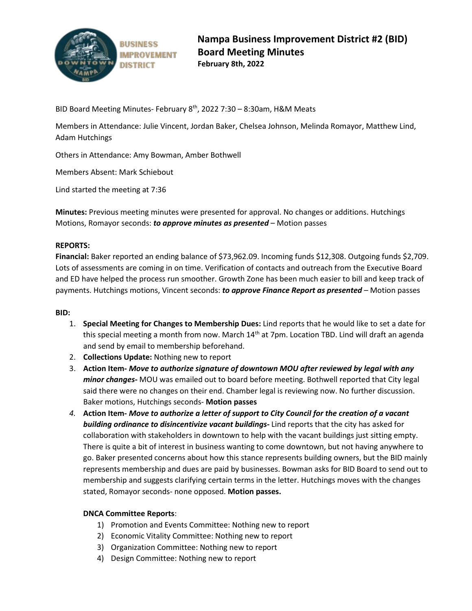

BID Board Meeting Minutes- February 8<sup>th</sup>, 2022 7:30 - 8:30am, H&M Meats

Members in Attendance: Julie Vincent, Jordan Baker, Chelsea Johnson, Melinda Romayor, Matthew Lind, Adam Hutchings

Others in Attendance: Amy Bowman, Amber Bothwell

Members Absent: Mark Schiebout

Lind started the meeting at 7:36

**Minutes:** Previous meeting minutes were presented for approval. No changes or additions. Hutchings Motions, Romayor seconds: *to approve minutes as presented* – Motion passes

### **REPORTS:**

**Financial:** Baker reported an ending balance of \$73,962.09. Incoming funds \$12,308. Outgoing funds \$2,709. Lots of assessments are coming in on time. Verification of contacts and outreach from the Executive Board and ED have helped the process run smoother. Growth Zone has been much easier to bill and keep track of payments. Hutchings motions, Vincent seconds: *to approve Finance Report as presented* – Motion passes

### **BID:**

- 1. **Special Meeting for Changes to Membership Dues:** Lind reports that he would like to set a date for this special meeting a month from now. March 14<sup>th</sup> at 7pm. Location TBD. Lind will draft an agenda and send by email to membership beforehand.
- 2. **Collections Update:** Nothing new to report
- 3. **Action Item-** *Move to authorize signature of downtown MOU after reviewed by legal with any minor changes-* MOU was emailed out to board before meeting. Bothwell reported that City legal said there were no changes on their end. Chamber legal is reviewing now. No further discussion. Baker motions, Hutchings seconds- **Motion passes**
- *4.* **Action Item-** *Move to authorize a letter of support to City Council for the creation of a vacant building ordinance to disincentivize vacant buildings-* Lind reports that the city has asked for collaboration with stakeholders in downtown to help with the vacant buildings just sitting empty. There is quite a bit of interest in business wanting to come downtown, but not having anywhere to go. Baker presented concerns about how this stance represents building owners, but the BID mainly represents membership and dues are paid by businesses. Bowman asks for BID Board to send out to membership and suggests clarifying certain terms in the letter. Hutchings moves with the changes stated, Romayor seconds- none opposed. **Motion passes.**

### **DNCA Committee Reports**:

- 1) Promotion and Events Committee: Nothing new to report
- 2) Economic Vitality Committee: Nothing new to report
- 3) Organization Committee: Nothing new to report
- 4) Design Committee: Nothing new to report